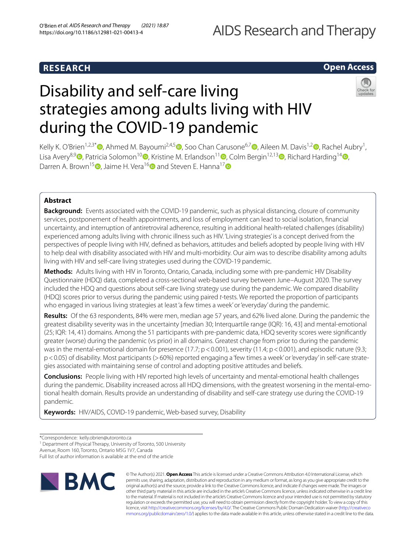# AIDS Research and Therapy

## **RESEARCH**

## **Open Access**

# Disability and self-care living strategies among adults living with HIV during the COVID-19 pandemic



Kelly K. O'Brien<sup>1[,](http://orcid.org/0000-0002-1632-6537)2,3\*</sup> (D, Ahmed M. Bayoumi<sup>2,4,[5](http://orcid.org/0000-0002-7753-2828)</sup> (D[,](http://orcid.org/0000-0002-9903-9399) Soo Chan Carusone<sup>6,7</sup> (D, Aileen M. Davis<sup>1,2</sup> (D, Rachel Aubry<sup>1</sup>, Lisa Avery<sup>8,9</sup> [,](http://orcid.org/0000-0001-9653-8689) Patricia Solomon<sup>1[0](http://orcid.org/0000-0002-5014-0795)</sup> , Kristine M. Erlandson<sup>11</sup> , Colm Bergin<sup>12,1[3](http://orcid.org/0000-0002-6651-1132)</sup> , Richard Harding<sup>14</sup> , Darren A. Brown<sup>15</sup> [,](http://orcid.org/0000-0002-4956-243X) Jaime H. Vera<sup>1[6](http://orcid.org/0000-0002-1165-0573)</sup> and Steven E. Hanna<sup>1[7](http://orcid.org/0000-0003-3120-9600)</sup>

## **Abstract**

**Background:** Events associated with the COVID-19 pandemic, such as physical distancing, closure of community services, postponement of health appointments, and loss of employment can lead to social isolation, fnancial uncertainty, and interruption of antiretroviral adherence, resulting in additional health-related challenges (disability) experienced among adults living with chronic illness such as HIV. 'Living strategies' is a concept derived from the perspectives of people living with HIV, defned as behaviors, attitudes and beliefs adopted by people living with HIV to help deal with disability associated with HIV and multi-morbidity. Our aim was to describe disability among adults living with HIV and self-care living strategies used during the COVID-19 pandemic.

**Methods:** Adults living with HIV in Toronto, Ontario, Canada, including some with pre-pandemic HIV Disability Questionnaire (HDQ) data, completed a cross-sectional web-based survey between June–August 2020. The survey included the HDQ and questions about self-care living strategy use during the pandemic. We compared disability (HDQ) scores prior to versus during the pandemic using paired *t*-tests. We reported the proportion of participants who engaged in various living strategies at least 'a few times a week' or 'everyday' during the pandemic.

**Results:** Of the 63 respondents, 84% were men, median age 57 years, and 62% lived alone. During the pandemic the greatest disability severity was in the uncertainty [median 30; Interquartile range (IQR): 16, 43] and mental-emotional (25; IQR: 14, 41) domains. Among the 51 participants with pre-pandemic data, HDQ severity scores were signifcantly greater (worse) during the pandemic (vs prior) in all domains. Greatest change from prior to during the pandemic was in the mental-emotional domain for presence (17.7; p <0.001), severity (11.4; p <0.001), and episodic nature (9.3; p<0.05) of disability. Most participants (>60%) reported engaging a 'few times a week' or 'everyday' in self-care strategies associated with maintaining sense of control and adopting positive attitudes and beliefs.

**Conclusions:** People living with HIV reported high levels of uncertainty and mental-emotional health challenges during the pandemic. Disability increased across all HDQ dimensions, with the greatest worsening in the mental-emotional health domain. Results provide an understanding of disability and self-care strategy use during the COVID-19 pandemic.

**Keywords:** HIV/AIDS, COVID-19 pandemic, Web-based survey, Disability

<sup>1</sup> Department of Physical Therapy, University of Toronto, 500 University

Full list of author information is available at the end of the article



© The Author(s) 2021. **Open Access** This article is licensed under a Creative Commons Attribution 4.0 International License, which permits use, sharing, adaptation, distribution and reproduction in any medium or format, as long as you give appropriate credit to the original author(s) and the source, provide a link to the Creative Commons licence, and indicate if changes were made. The images or other third party material in this article are included in the article's Creative Commons licence, unless indicated otherwise in a credit line to the material. If material is not included in the article's Creative Commons licence and your intended use is not permitted by statutory regulation or exceeds the permitted use, you will need to obtain permission directly from the copyright holder. To view a copy of this licence, visit [http://creativecommons.org/licenses/by/4.0/.](http://creativecommons.org/licenses/by/4.0/) The Creative Commons Public Domain Dedication waiver ([http://creativeco](http://creativecommons.org/publicdomain/zero/1.0/) [mmons.org/publicdomain/zero/1.0/](http://creativecommons.org/publicdomain/zero/1.0/)) applies to the data made available in this article, unless otherwise stated in a credit line to the data.

<sup>\*</sup>Correspondence: kelly.obrien@utoronto.ca

Avenue, Room 160, Toronto, Ontario M5G 1V7, Canada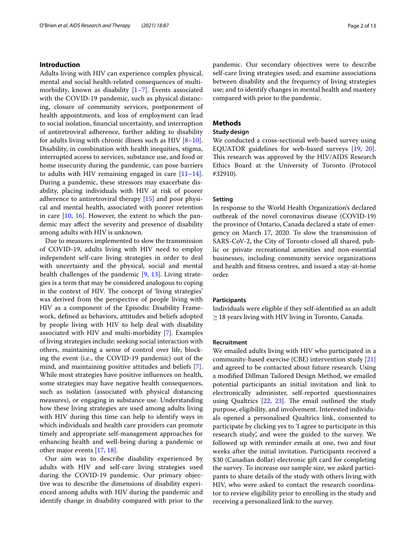#### **Introduction**

Adults living with HIV can experience complex physical, mental and social health-related consequences of multimorbidity, known as disability  $[1-7]$  $[1-7]$  $[1-7]$ . Events associated with the COVID-19 pandemic, such as physical distancing, closure of community services, postponement of health appointments, and loss of employment can lead to social isolation, fnancial uncertainty, and interruption of antiretroviral adherence, further adding to disability for adults living with chronic illness such as HIV  $[8-10]$  $[8-10]$ . Disability, in combination with health inequities, stigma, interrupted access to services, substance use, and food or home insecurity during the pandemic, can pose barriers to adults with HIV remaining engaged in care  $[11-14]$  $[11-14]$  $[11-14]$ . During a pandemic, these stressors may exacerbate disability, placing individuals with HIV at risk of poorer adherence to antiretroviral therapy [\[15\]](#page-11-3) and poor physical and mental health, associated with poorer retention in care [\[10](#page-11-0), [16\]](#page-11-4). However, the extent to which the pandemic may afect the severity and presence of disability among adults with HIV is unknown.

Due to measures implemented to slow the transmission of COVID-19, adults living with HIV need to employ independent self-care living strategies in order to deal with uncertainty and the physical, social and mental health challenges of the pandemic [[9,](#page-10-3) [13](#page-11-5)]. Living strategies is a term that may be considered analogous to coping in the context of HIV. The concept of 'living strategies' was derived from the perspective of people living with HIV as a component of the Episodic Disability Framework, defned as behaviors, attitudes and beliefs adopted by people living with HIV to help deal with disability associated with HIV and multi-morbidity [\[7](#page-10-1)]. Examples of living strategies include: seeking social interaction with others, maintaining a sense of control over life, blocking the event (i.e., the COVID-19 pandemic) out of the mind, and maintaining positive attitudes and beliefs [\[7](#page-10-1)]. While most strategies have positive infuences on health, some strategies may have negative health consequences, such as isolation (associated with physical distancing measures), or engaging in substance use. Understanding how these living strategies are used among adults living with HIV during this time can help to identify ways in which individuals and health care providers can promote timely and appropriate self-management approaches for enhancing health and well-being during a pandemic or other major events [[17,](#page-11-6) [18](#page-11-7)].

Our aim was to describe disability experienced by adults with HIV and self-care living strategies used during the COVID-19 pandemic. Our primary objective was to describe the dimensions of disability experienced among adults with HIV during the pandemic and identify change in disability compared with prior to the pandemic. Our secondary objectives were to describe self-care living strategies used; and examine associations between disability and the frequency of living strategies use; and to identify changes in mental health and mastery compared with prior to the pandemic.

### **Methods**

#### **Study design**

We conducted a cross-sectional web-based survey using EQUATOR guidelines for web-based surveys [\[19](#page-11-8), [20](#page-11-9)]. This research was approved by the HIV/AIDS Research Ethics Board at the University of Toronto (Protocol #32910).

#### **Setting**

In response to the World Health Organization's declared outbreak of the novel coronavirus disease (COVID-19) the province of Ontario, Canada declared a state of emergency on March 17, 2020. To slow the transmission of SARS-CoV-2, the City of Toronto closed all shared, public or private recreational amenities and non-essential businesses, including community service organizations and health and ftness centres, and issued a stay-at-home order.

#### **Participants**

Individuals were eligible if they self-identifed as an adult  $\geq$  18 years living with HIV living in Toronto, Canada.

#### **Recruitment**

We emailed adults living with HIV who participated in a community-based exercise (CBE) intervention study [[21](#page-11-10)] and agreed to be contacted about future research. Using a modifed Dillman Tailored Design Method, we emailed potential participants an initial invitation and link to electronically administer, self-reported questionnaires using Qualtrics  $[22, 23]$  $[22, 23]$  $[22, 23]$ . The email outlined the study purpose, eligibility, and involvement. Interested individuals opened a personalised Qualtrics link, consented to participate by clicking yes to 'I agree to participate in this research study', and were the guided to the survey. We followed up with reminder emails at one, two and four weeks after the initial invitation. Participants received a \$30 (Canadian dollar) electronic gift card for completing the survey. To increase our sample size, we asked participants to share details of the study with others living with HIV, who were asked to contact the research coordinator to review eligibility prior to enrolling in the study and receiving a personalized link to the survey.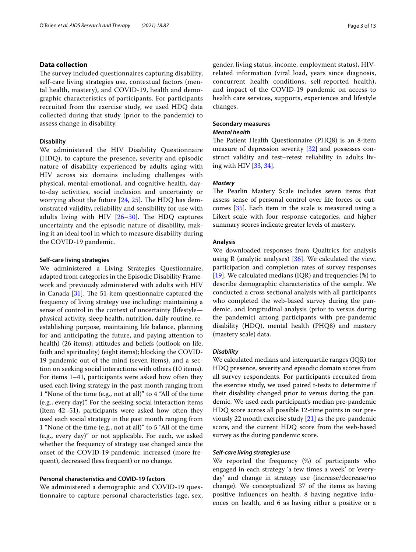#### **Data collection**

The survey included questionnaires capturing disability, self-care living strategies use, contextual factors (mental health, mastery), and COVID-19, health and demographic characteristics of participants. For participants recruited from the exercise study, we used HDQ data collected during that study (prior to the pandemic) to assess change in disability.

#### **Disability**

We administered the HIV Disability Questionnaire (HDQ), to capture the presence, severity and episodic nature of disability experienced by adults aging with HIV across six domains including challenges with physical, mental-emotional, and cognitive health, dayto-day activities, social inclusion and uncertainty or worrying about the future  $[24, 25]$  $[24, 25]$  $[24, 25]$ . The HDQ has demonstrated validity, reliability and sensibility for use with adults living with HIV  $[26-30]$  $[26-30]$  $[26-30]$ . The HDQ captures uncertainty and the episodic nature of disability, making it an ideal tool in which to measure disability during the COVID-19 pandemic*.*

#### **Self‑care living strategies**

We administered a Living Strategies Questionnaire, adapted from categories in the Episodic Disability Framework and previously administered with adults with HIV in Canada  $[31]$  $[31]$ . The 51-item questionnaire captured the frequency of living strategy use including: maintaining a sense of control in the context of uncertainty (lifestyle physical activity, sleep health, nutrition, daily routine, reestablishing purpose, maintaining life balance, planning for and anticipating the future, and paying attention to health) (26 items); attitudes and beliefs (outlook on life, faith and spirituality) (eight items); blocking the COVID-19 pandemic out of the mind (seven items), and a section on seeking social interactions with others (10 items). For items 1–41, participants were asked how often they used each living strategy in the past month ranging from 1 "None of the time (e.g., not at all)" to 4 "All of the time (e.g., every day)". For the seeking social interaction items (Item 42–51), participants were asked how often they used each social strategy in the past month ranging from 1 "None of the time (e.g., not at all)" to 5 "All of the time (e.g., every day)" or not applicable. For each, we asked whether the frequency of strategy use changed since the onset of the COVID-19 pandemic: increased (more frequent), decreased (less frequent) or no change.

#### **Personal characteristics and COVID‑19 factors**

We administered a demographic and COVID-19 questionnaire to capture personal characteristics (age, sex, gender, living status, income, employment status), HIVrelated information (viral load, years since diagnosis, concurrent health conditions, self-reported health), and impact of the COVID-19 pandemic on access to health care services, supports, experiences and lifestyle changes.

#### **Secondary measures**

#### *Mental health*

The Patient Health Questionnaire (PHQ8) is an 8-item measure of depression severity [[32](#page-11-18)] and possesses construct validity and test–retest reliability in adults living with HIV [[33,](#page-11-19) [34\]](#page-11-20).

#### *Mastery*

The Pearlin Mastery Scale includes seven items that assess sense of personal control over life forces or outcomes [[35\]](#page-11-21). Each item in the scale is measured using a Likert scale with four response categories, and higher summary scores indicate greater levels of mastery.

#### **Analysis**

We downloaded responses from Qualtrics for analysis using R (analytic analyses)  $[36]$  $[36]$ . We calculated the view, participation and completion rates of survey responses [[19\]](#page-11-8). We calculated medians (IQR) and frequencies  $%$  to describe demographic characteristics of the sample. We conducted a cross sectional analysis with all participants who completed the web-based survey during the pandemic, and longitudinal analysis (prior to versus during the pandemic) among participants with pre-pandemic disability (HDQ), mental health (PHQ8) and mastery (mastery scale) data.

#### *Disability*

We calculated medians and interquartile ranges (IQR) for HDQ presence, severity and episodic domain scores from all survey respondents. For participants recruited from the exercise study, we used paired t-tests to determine if their disability changed prior to versus during the pandemic. We used each participant's median pre-pandemic HDQ score across all possible 12-time points in our previously 22 month exercise study [[21\]](#page-11-10) as the pre-pandemic score, and the current HDQ score from the web-based survey as the during pandemic score.

#### *Self‑care living strategies use*

We reported the frequency (%) of participants who engaged in each strategy 'a few times a week' or 'everyday' and change in strategy use (increase/decrease/no change). We conceptualized 37 of the items as having positive infuences on health, 8 having negative infuences on health, and 6 as having either a positive or a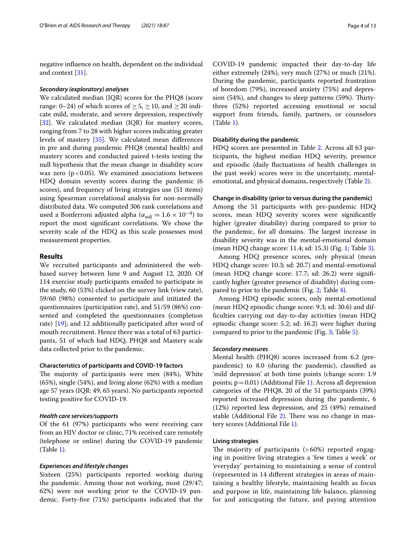negative infuence on health, dependent on the individual and context [\[31\]](#page-11-17).

#### *Secondary (exploratory) analyses*

We calculated median (IQR) scores for the PHQ8 (score range: 0–24) of which scores of  $\geq 5$ ,  $\geq 10$ , and  $\geq 20$  indicate mild, moderate, and severe depression, respectively [[32\]](#page-11-18). We calculated median (IQR) for mastery scores, ranging from 7 to 28 with higher scores indicating greater levels of mastery [\[35\]](#page-11-21). We calculated mean diferences in pre and during pandemic PHQ8 (mental health) and mastery scores and conducted paired t-tests testing the null hypothesis that the mean change in disability score was zero ( $p < 0.05$ ). We examined associations between HDQ domain severity scores during the pandemic (6 scores), and frequency of living strategies use (51 items) using Spearman correlational analysis for non-normally distributed data. We computed 306 rank correlations and used a Bonferroni adjusted alpha ( $\alpha_{adi} = 1.6 \times 10^{-4}$ ) to report the most signifcant correlations. We chose the severity scale of the HDQ as this scale possesses most measurement properties.

#### **Results**

We recruited participants and administered the webbased survey between June 9 and August 12, 2020. Of 114 exercise study participants emailed to participate in the study, 60 (53%) clicked on the survey link (view rate), 59/60 (98%) consented to participate and initiated the questionnaires (participation rate), and 51/59 (86%) consented and completed the questionnaires (completion rate) [\[19\]](#page-11-8); and 12 additionally participated after word of mouth recruitment. Hence there was a total of 63 participants, 51 of which had HDQ, PHQ8 and Mastery scale data collected prior to the pandemic.

#### **Characteristics of participants and COVID‑19 factors**

The majority of participants were men (84%), White (65%), single (54%), and living alone (62%) with a median age 57 years (IQR: 49, 65 years). No participants reported testing positive for COVID-19.

#### *Health care services/supports*

Of the 61 (97%) participants who were receiving care from an HIV doctor or clinic, 71% received care remotely (telephone or online) during the COVID-19 pandemic (Table [1](#page-4-0)).

#### *Experiences and lifestyle changes*

Sixteen (25%) participants reported working during the pandemic. Among those not working, most (29/47; 62%) were not working prior to the COVID-19 pandemic. Forty-fve (71%) participants indicated that the

COVID-19 pandemic impacted their day-to-day life either extremely (24%), very much (27%) or much (21%). During the pandemic, participants reported frustration of boredom (79%), increased anxiety (75%) and depression (54%), and changes to sleep patterns (59%). Thirtythree (52%) reported accessing emotional or social support from friends, family, partners, or counselors (Table [1\)](#page-4-0).

#### **Disability during the pandemic**

HDQ scores are presented in Table [2.](#page-5-0) Across all 63 participants, the highest median HDQ severity, presence and episodic (daily fuctuations of health challenges in the past week) scores were in the uncertainty, mentalemotional, and physical domains, respectively (Table [2\)](#page-5-0).

#### **Change in disability (prior to versus during the pandemic)**

Among the 51 participants with pre-pandemic HDQ scores, mean HDQ severity scores were signifcantly higher (greater disability) during compared to prior to the pandemic, for all domains. The largest increase in disability severity was in the mental-emotional domain (mean HDQ change score: 11.4; sd: 15.3) (Fig. [1](#page-5-1); Table [3](#page-6-0)).

Among HDQ presence scores, only physical (mean HDQ change score: 10.3; sd: 20.7) and mental-emotional (mean HDQ change score: 17.7; sd: 26.2) were signifcantly higher (greater presence of disability) during compared to prior to the pandemic (Fig. [2;](#page-6-1) Table [4\)](#page-7-0).

Among HDQ episodic scores, only mental-emotional (mean HDQ episodic change score: 9.3; sd: 30.6) and diffculties carrying out day-to-day activities (mean HDQ episodic change score: 5.2; sd: 16.2) were higher during compared to prior to the pandemic (Fig. [3](#page-7-1); Table [5](#page-8-0)).

#### *Secondary measures*

Mental health (PHQ8) scores increased from 6.2 (prepandemic) to 8.0 (during the pandemic), classifed as 'mild depression' at both time points (change score: 1.9 points;  $p=0.01$ ) (Additional File [1](#page-10-4)). Across all depression categories of the PHQ8, 20 of the 51 participants (39%) reported increased depression during the pandemic, 6 (12%) reported less depression, and 25 (49%) remained stable (Additional File [2](#page-10-5)). There was no change in mastery scores (Additional File [1\)](#page-10-4).

#### **Living strategies**

The majority of participants  $(>60%)$  reported engaging in positive living strategies a 'few times a week' or 'everyday' pertaining to maintaining a sense of control (represented in 14 diferent strategies in areas of maintaining a healthy lifestyle, maintaining health as focus and purpose in life, maintaining life balance, planning for and anticipating the future, and paying attention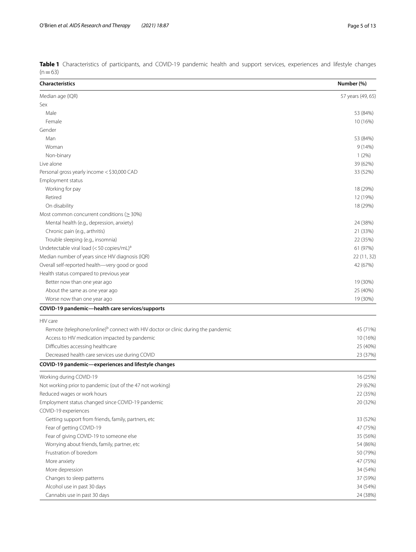<span id="page-4-0"></span>

|          | Table 1 Characteristics of participants, and COVID-19 pandemic health and support services, experiences and lifestyle changes |  |  |  |  |  |  |  |
|----------|-------------------------------------------------------------------------------------------------------------------------------|--|--|--|--|--|--|--|
| $(n=63)$ |                                                                                                                               |  |  |  |  |  |  |  |

| <b>Characteristics</b>                                                                       | Number (%)        |
|----------------------------------------------------------------------------------------------|-------------------|
| Median age (IQR)                                                                             | 57 years (49, 65) |
| Sex                                                                                          |                   |
| Male                                                                                         | 53 (84%)          |
| Female                                                                                       | 10 (16%)          |
| Gender                                                                                       |                   |
| Man                                                                                          | 53 (84%)          |
| Woman                                                                                        | 9(14%)            |
| Non-binary                                                                                   | 1(2%)             |
| Live alone                                                                                   | 39 (62%)          |
| Personal gross yearly income < \$30,000 CAD                                                  | 33 (52%)          |
| Employment status                                                                            |                   |
| Working for pay                                                                              | 18 (29%)          |
| Retired                                                                                      | 12 (19%)          |
| On disability                                                                                | 18 (29%)          |
| Most common concurrent conditions ( $\geq$ 30%)                                              |                   |
| Mental health (e.g., depression, anxiety)                                                    | 24 (38%)          |
| Chronic pain (e.g., arthritis)                                                               | 21 (33%)          |
| Trouble sleeping (e.g., insomnia)                                                            | 22 (35%)          |
| Undetectable viral load ( $<$ 50 copies/mL) <sup>a</sup>                                     | 61 (97%)          |
| Median number of years since HIV diagnosis (IQR)                                             | 22 (11, 32)       |
| Overall self-reported health-very good or good                                               | 42 (67%)          |
| Health status compared to previous year                                                      |                   |
| Better now than one year ago                                                                 | 19 (30%)          |
| About the same as one year ago                                                               | 25 (40%)          |
| Worse now than one year ago                                                                  | 19 (30%)          |
| COVID-19 pandemic-health care services/supports                                              |                   |
| HIV care                                                                                     |                   |
| Remote (telephone/online) <sup>b</sup> connect with HIV doctor or clinic during the pandemic | 45 (71%)          |
| Access to HIV medication impacted by pandemic                                                | 10 (16%)          |
|                                                                                              | 25 (40%)          |
| Difficulties accessing healthcare                                                            |                   |
| Decreased health care services use during COVID                                              | 23 (37%)          |
| COVID-19 pandemic-experiences and lifestyle changes                                          |                   |
| Working during COVID-19                                                                      | 16 (25%)          |
| Not working prior to pandemic (out of the 47 not working)                                    | 29 (62%)          |
| Reduced wages or work hours                                                                  | 22 (35%)          |
| Employment status changed since COVID-19 pandemic                                            | 20 (32%)          |
| COVID-19 experiences                                                                         |                   |
| Getting support from friends, family, partners, etc                                          | 33 (52%)          |
| Fear of getting COVID-19                                                                     | 47 (75%)          |
| Fear of giving COVID-19 to someone else                                                      | 35 (56%)          |
| Worrying about friends, family, partner, etc                                                 | 54 (86%)          |
| Frustration of boredom                                                                       | 50 (79%)          |
| More anxiety                                                                                 | 47 (75%)          |
| More depression                                                                              | 34 (54%)          |
| Changes to sleep patterns                                                                    | 37 (59%)          |
| Alcohol use in past 30 days                                                                  | 34 (54%)          |
| Cannabis use in past 30 days                                                                 | 24 (38%)          |
|                                                                                              |                   |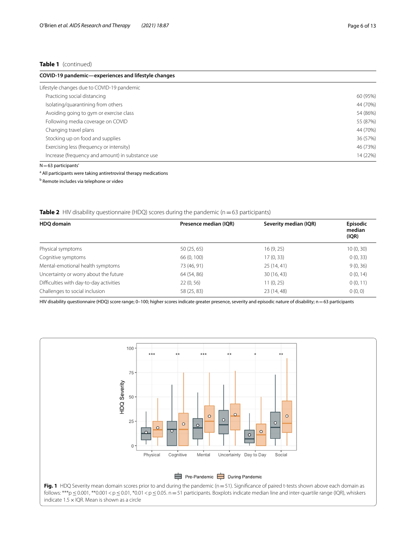#### **Table 1** (continued)

| COVID-19 pandemic-experiences and lifestyle changes |          |  |  |  |  |
|-----------------------------------------------------|----------|--|--|--|--|
| Lifestyle changes due to COVID-19 pandemic          |          |  |  |  |  |
| Practicing social distancing                        | 60 (95%) |  |  |  |  |
| Isolating/quarantining from others                  | 44 (70%) |  |  |  |  |
| Avoiding going to gym or exercise class             | 54 (86%) |  |  |  |  |
| Following media coverage on COVID                   | 55 (87%) |  |  |  |  |
| Changing travel plans                               | 44 (70%) |  |  |  |  |
| Stocking up on food and supplies                    | 36 (57%) |  |  |  |  |
| Exercising less (frequency or intensity)            | 46 (73%) |  |  |  |  |
| Increase (frequency and amount) in substance use    | 14 (22%) |  |  |  |  |
| $N = 63$ participants'                              |          |  |  |  |  |

<sup>a</sup> All participants were taking antiretroviral therapy medications

<sup>b</sup> Remote includes via telephone or video

<span id="page-5-0"></span>**Table 2** HIV disability questionnaire (HDQ) scores during the pandemic (n=63 participants)

| <b>HDO</b> domain                       | Presence median (IQR) | Severity median (IQR) | <b>Episodic</b><br>median<br>(IQR) |  |
|-----------------------------------------|-----------------------|-----------------------|------------------------------------|--|
|                                         |                       |                       |                                    |  |
| Physical symptoms                       | 50(25, 65)            | 16(9, 25)             | 10(0, 30)                          |  |
| Cognitive symptoms                      | 66 (0, 100)           | 17 (0, 33)            | 0(0, 33)                           |  |
| Mental-emotional health symptoms        | 73 (46, 91)           | 25(14, 41)            | 9(0, 36)                           |  |
| Uncertainty or worry about the future   | 64 (54, 86)           | 30(16, 43)            | 0(0, 14)                           |  |
| Difficulties with day-to-day activities | 22(0, 56)             | 11(0, 25)             | 0(0, 11)                           |  |
| Challenges to social inclusion          | 58 (25, 83)           | 23 (14, 48)           | 0(0, 0)                            |  |

HIV disability questionnaire (HDQ) score range; 0–100; higher scores indicate greater presence, severity and episodic nature of disability; n=63 participants

<span id="page-5-1"></span>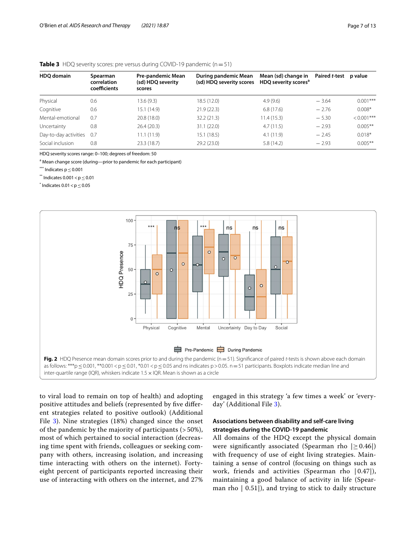| <b>HDO domain</b> | Spearman<br>correlation<br>coefficients | Pre-pandemic Mean<br>(sd) HDQ severity<br>scores | During pandemic Mean<br>(sd) HDQ severity scores | Mean (sd) change in<br>HDQ severity scores <sup>a</sup> | Paired t-test | p value       |
|-------------------|-----------------------------------------|--------------------------------------------------|--------------------------------------------------|---------------------------------------------------------|---------------|---------------|
| Physical          | 0.6                                     | 13.6(9.3)                                        | 18.5 (12.0)                                      | 4.9(9.6)                                                | $-3.64$       | $0.001***$    |
| Cognitive         | 0.6                                     | 15.1 (14.9)                                      | 21.9(22.3)                                       | 6.8(17.6)                                               | $-2.76$       | $0.008*$      |
| Mental-emotional  | 0.7                                     | 20.8 (18.0)                                      | 32.2(21.3)                                       | 11.4(15.3)                                              | $-5.30$       | $< 0.001$ *** |
| Uncertainty       | 0.8                                     | 26.4(20.3)                                       | 31.1(22.0)                                       | 4.7(11.5)                                               | $-2.93$       | $0.005***$    |
|                   |                                         |                                                  |                                                  |                                                         |               |               |

Day-to-day activities 0.7 11.1 (11.9) 15.1 (18.5) 4.1 (11.9) 4.1 (11.9) 4.1 (11.9) 4.1 (11.9) 4.1 (11.9) 4.1 (11.9) 4.1 (11.9) 4.1 (11.9) 4.1 (11.9) 4.1 (11.9) 4.1 (11.9) 4.1 (11.9) 4.1 (11.9) 4.1 (11.9) 4.1 (11.9) 4.1 (1 Social inclusion  $0.8$  23.3 (18.7) 29.2 (23.0) 5.8 (14.2)  $-2.93$  0.005\*\*

#### <span id="page-6-0"></span>**Table 3** HDQ severity scores: pre versus during COVID-19 pandemic (n=51)

HDQ severity scores range: 0–100; degrees of freedom: 50

<sup>a</sup> Mean change score (during—prior to pandemic for each participant)

\*\*\* Indicates p≤0.001

 $**$  Indicates 0.001 < p  $\leq$  0.01

 $*$  Indicates 0.01  $<$  p  $\leq$  0.05



<span id="page-6-1"></span>to viral load to remain on top of health) and adopting positive attitudes and beliefs (represented by fve diferent strategies related to positive outlook) (Additional File [3\)](#page-10-6). Nine strategies (18%) changed since the onset of the pandemic by the majority of participants (> 50%), most of which pertained to social interaction (decreasing time spent with friends, colleagues or seeking company with others, increasing isolation, and increasing time interacting with others on the internet). Fortyeight percent of participants reported increasing their use of interacting with others on the internet, and 27% engaged in this strategy 'a few times a week' or 'everyday' (Additional File [3\)](#page-10-6).

#### **Associations between disability and self‑care living strategies during the COVID‑19 pandemic**

All domains of the HDQ except the physical domain were significantly associated (Spearman rho  $| \geq 0.46 |$ ) with frequency of use of eight living strategies. Maintaining a sense of control (focusing on things such as work, friends and activities (Spearman rho  $(0.47)$ ), maintaining a good balance of activity in life (Spearman rho | 0.51|), and trying to stick to daily structure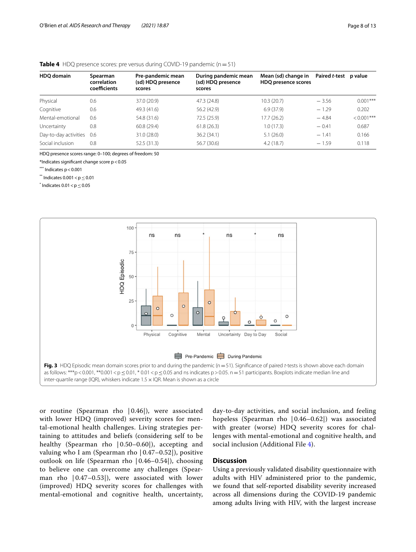#### <span id="page-7-0"></span>**Table 4** HDQ presence scores: pre versus during COVID-19 pandemic (n=51)

| <b>HDO</b> domain     | Spearman<br>correlation<br>coefficients | Pre-pandemic mean<br>(sd) HDQ presence<br>scores | During pandemic mean<br>(sd) HDQ presence<br>scores | Mean (sd) change in<br>HDQ presence scores | Paired t-test p value |               |
|-----------------------|-----------------------------------------|--------------------------------------------------|-----------------------------------------------------|--------------------------------------------|-----------------------|---------------|
| Physical              | 0.6                                     | 37.0 (20.9)                                      | 47.3 (24.8)                                         | 10.3(20.7)                                 | $-3.56$               | $0.001***$    |
| Cognitive             | 0.6                                     | 49.3 (41.6)                                      | 56.2 (42.9)                                         | 6.9(37.9)                                  | $-1.29$               | 0.202         |
| Mental-emotional      | 0.6                                     | 54.8 (31.6)                                      | 72.5 (25.9)                                         | 17.7(26.2)                                 | $-4.84$               | $< 0.001$ *** |
| Uncertainty           | 0.8                                     | 60.8(29.4)                                       | 61.8(26.3)                                          | 1.0(17.3)                                  | $-0.41$               | 0.687         |
| Day-to-day activities | 0.6                                     | 31.0 (28.0)                                      | 36.2(34.1)                                          | 5.1(26.0)                                  | $-1.41$               | 0.166         |
| Social inclusion      | 0.8                                     | 52.5(31.3)                                       | 56.7 (30.6)                                         | 4.2(18.7)                                  | $-1.59$               | 0.118         |

HDQ presence scores range: 0–100; degrees of freedom: 50

\*Indicates signifcant change score p<0.05

 $***$  Indicates  $p < 0.001$ 

 $**$  Indicates 0.001 < p  $\leq$  0.01

 $*$  Indicates 0.01  $<$  p  $\leq$  0.05



<span id="page-7-1"></span>or routine (Spearman rho | 0.46|), were associated with lower HDQ (improved) severity scores for mental-emotional health challenges. Living strategies pertaining to attitudes and beliefs (considering self to be healthy (Spearman rho  $(0.50-0.60)$ ), accepting and valuing who I am (Spearman rho | 0.47–0.52|), positive outlook on life (Spearman rho | 0.46–0.54|), choosing to believe one can overcome any challenges (Spearman rho  $(0.47-0.53)$ , were associated with lower (improved) HDQ severity scores for challenges with mental-emotional and cognitive health, uncertainty, day-to-day activities, and social inclusion, and feeling hopeless (Spearman rho  $(0.46-0.62)$ ) was associated with greater (worse) HDQ severity scores for challenges with mental-emotional and cognitive health, and social inclusion (Additional File [4\)](#page-10-7).

### **Discussion**

Using a previously validated disability questionnaire with adults with HIV administered prior to the pandemic, we found that self-reported disability severity increased across all dimensions during the COVID-19 pandemic among adults living with HIV, with the largest increase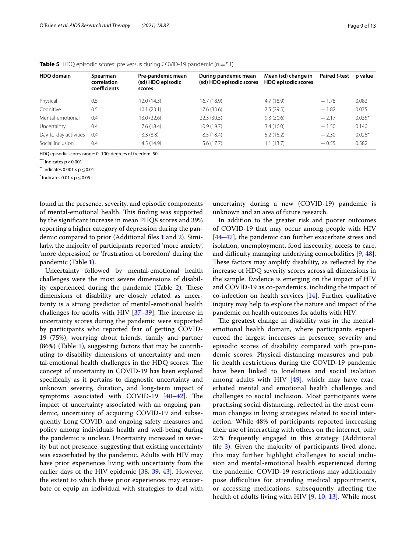| <b>HDO</b> domain     | Spearman<br>correlation<br>coefficients | Pre-pandemic mean<br>(sd) HDQ episodic<br>scores | During pandemic mean<br>(sd) HDQ episodic scores | Mean (sd) change in<br>HDQ episodic scores | Paired t-test | p value  |
|-----------------------|-----------------------------------------|--------------------------------------------------|--------------------------------------------------|--------------------------------------------|---------------|----------|
| Physical              | 0.5                                     | 12.0 (14.3)                                      | 16.7(18.9)                                       | 4.7(18.9)                                  | $-1.78$       | 0.082    |
| Cognitive             | 0.5                                     | 10.1(23.1)                                       | 17.6(33.6)                                       | 7.5(29.5)                                  | $-1.82$       | 0.075    |
| Mental-emotional      | 0.4                                     | 13.0 (22.6)                                      | 22.3(30.5)                                       | 9.3(30.6)                                  | $-2.17$       | $0.035*$ |
| Uncertainty           | 0.4                                     | 7.6(18.4)                                        | 10.9(19.7)                                       | 3.4(16.0)                                  | $-1.50$       | 0.140    |
| Day-to-day activities | 0.4                                     | 3.3(8.8)                                         | 8.5(18.4)                                        | 5.2(16.2)                                  | $-2.30$       | $0.026*$ |
| Social inclusion      | 0.4                                     | 4.5(14.9)                                        | 5.6(17.7)                                        | 1.1(13.7)                                  | $-0.55$       | 0.582    |

<span id="page-8-0"></span>

|  | <b>Table 5</b> HDQ episodic scores: pre versus during COVID-19 pandemic ( $n = 51$ ) |  |  |
|--|--------------------------------------------------------------------------------------|--|--|
|--|--------------------------------------------------------------------------------------|--|--|

HDQ episodic scores range: 0–100; degrees of freedom: 50

 $***$  Indicates  $p < 0.001$ 

 $**$  Indicates 0.001  $<$  p $<$  0.01

 $*$  Indicates 0.01  $<$  p  $\leq$  0.05

found in the presence, severity, and episodic components of mental-emotional health. This finding was supported by the signifcant increase in mean PHQ8 scores and 39% reporting a higher category of depression during the pandemic compared to prior (Additional fles [1](#page-10-4) and [2](#page-10-5)). Similarly, the majority of participants reported 'more anxiety', 'more depression', or 'frustration of boredom' during the pandemic (Table [1](#page-4-0)).

Uncertainty followed by mental-emotional health challenges were the most severe dimensions of disability experienced during the pandemic (Table  $2$ ). These dimensions of disability are closely related as uncertainty is a strong predictor of mental-emotional health challenges for adults with HIV  $[37-39]$  $[37-39]$ . The increase in uncertainty scores during the pandemic were supported by participants who reported fear of getting COVID-19 (75%), worrying about friends, family and partner (86%) (Table [1](#page-4-0)), suggesting factors that may be contributing to disability dimensions of uncertainty and mental-emotional health challenges in the HDQ scores. The concept of uncertainty in COVID-19 has been explored specifcally as it pertains to diagnostic uncertainty and unknown severity, duration, and long-term impact of symptoms associated with COVID-19  $[40-42]$  $[40-42]$  $[40-42]$ . The impact of uncertainty associated with an ongoing pandemic, uncertainty of acquiring COVID-19 and subsequently Long COVID, and ongoing safety measures and policy among individuals health and well-being during the pandemic is unclear. Uncertainty increased in severity but not presence, suggesting that existing uncertainty was exacerbated by the pandemic. Adults with HIV may have prior experiences living with uncertainty from the earlier days of the HIV epidemic [[38,](#page-11-27) [39](#page-11-24), [43](#page-11-28)]. However, the extent to which these prior experiences may exacerbate or equip an individual with strategies to deal with

uncertainty during a new (COVID-19) pandemic is unknown and an area of future research.

In addition to the greater risk and poorer outcomes of COVID-19 that may occur among people with HIV [[44–](#page-11-29)[47\]](#page-11-30), the pandemic can further exacerbate stress and isolation, unemployment, food insecurity, access to care, and difficulty managing underlying comorbidities [\[9](#page-10-3), [48](#page-11-31)]. These factors may amplify disability, as reflected by the increase of HDQ severity scores across all dimensions in the sample. Evidence is emerging on the impact of HIV and COVID-19 as co-pandemics, including the impact of co-infection on health services [[14\]](#page-11-2). Further qualitative inquiry may help to explore the nature and impact of the pandemic on health outcomes for adults with HIV.

The greatest change in disability was in the mentalemotional health domain, where participants experienced the largest increases in presence, severity and episodic scores of disability compared with pre-pandemic scores. Physical distancing measures and public health restrictions during the COVID-19 pandemic have been linked to loneliness and social isolation among adults with HIV  $[49]$  $[49]$  $[49]$ , which may have exacerbated mental and emotional health challenges and challenges to social inclusion. Most participants were practising social distancing, refected in the most common changes in living strategies related to social interaction. While 48% of participants reported increasing their use of interacting with others on the internet, only 27% frequently engaged in this strategy (Additional file [3\)](#page-10-6). Given the majority of participants lived alone, this may further highlight challenges to social inclusion and mental-emotional health experienced during the pandemic. COVID-19 restrictions may additionally pose difficulties for attending medical appointments, or accessing medications, subsequently afecting the health of adults living with HIV [\[9](#page-10-3), [10,](#page-11-0) [13\]](#page-11-5). While most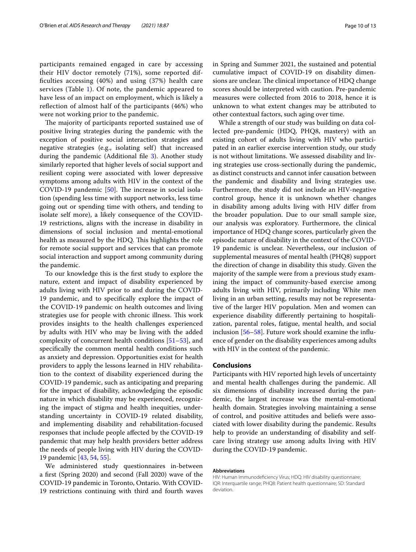participants remained engaged in care by accessing their HIV doctor remotely (71%), some reported diffculties accessing (40%) and using (37%) health care services (Table  $1$ ). Of note, the pandemic appeared to have less of an impact on employment, which is likely a refection of almost half of the participants (46%) who were not working prior to the pandemic.

The majority of participants reported sustained use of positive living strategies during the pandemic with the exception of positive social interaction strategies and negative strategies (e.g., isolating self) that increased during the pandemic (Additional file [3\)](#page-10-6). Another study similarly reported that higher levels of social support and resilient coping were associated with lower depressive symptoms among adults with HIV in the context of the COVID-19 pandemic  $[50]$  $[50]$ . The increase in social isolation (spending less time with support networks, less time going out or spending time with others, and tending to isolate self more), a likely consequence of the COVID-19 restrictions, aligns with the increase in disability in dimensions of social inclusion and mental-emotional health as measured by the HDQ. This highlights the role for remote social support and services that can promote social interaction and support among community during the pandemic.

To our knowledge this is the frst study to explore the nature, extent and impact of disability experienced by adults living with HIV prior to and during the COVID-19 pandemic, and to specifcally explore the impact of the COVID-19 pandemic on health outcomes and living strategies use for people with chronic illness. This work provides insights to the health challenges experienced by adults with HIV who may be living with the added complexity of concurrent health conditions [\[51](#page-11-34)[–53](#page-12-0)], and specifcally the common mental health conditions such as anxiety and depression. Opportunities exist for health providers to apply the lessons learned in HIV rehabilitation to the context of disability experienced during the COVID-19 pandemic, such as anticipating and preparing for the impact of disability, acknowledging the episodic nature in which disability may be experienced, recognizing the impact of stigma and health inequities, understanding uncertainty in COVID-19 related disability, and implementing disability and rehabilitation-focused responses that include people afected by the COVID-19 pandemic that may help health providers better address the needs of people living with HIV during the COVID-19 pandemic [[43](#page-11-28), [54,](#page-12-1) [55](#page-12-2)].

We administered study questionnaires in-between a frst (Spring 2020) and second (Fall 2020) wave of the COVID-19 pandemic in Toronto, Ontario. With COVID-19 restrictions continuing with third and fourth waves in Spring and Summer 2021, the sustained and potential cumulative impact of COVID-19 on disability dimensions are unclear. The clinical importance of HDQ change scores should be interpreted with caution. Pre-pandemic measures were collected from 2016 to 2018, hence it is unknown to what extent changes may be attributed to

other contextual factors, such aging over time. While a strength of our study was building on data collected pre-pandemic (HDQ, PHQ8, mastery) with an existing cohort of adults living with HIV who participated in an earlier exercise intervention study, our study is not without limitations. We assessed disability and living strategies use cross-sectionally during the pandemic, as distinct constructs and cannot infer causation between the pandemic and disability and living strategies use. Furthermore, the study did not include an HIV-negative control group, hence it is unknown whether changes in disability among adults living with HIV difer from the broader population. Due to our small sample size, our analysis was exploratory. Furthermore, the clinical importance of HDQ change scores, particularly given the episodic nature of disability in the context of the COVID-19 pandemic is unclear. Nevertheless, our inclusion of supplemental measures of mental health (PHQ8) support the direction of change in disability this study. Given the majority of the sample were from a previous study examining the impact of community-based exercise among adults living with HIV, primarily including White men living in an urban setting, results may not be representative of the larger HIV population. Men and women can experience disability diferently pertaining to hospitalization, parental roles, fatigue, mental health, and social inclusion [[56–](#page-12-3)[58](#page-12-4)]. Future work should examine the infuence of gender on the disability experiences among adults with HIV in the context of the pandemic.

#### **Conclusions**

Participants with HIV reported high levels of uncertainty and mental health challenges during the pandemic. All six dimensions of disability increased during the pandemic, the largest increase was the mental-emotional health domain. Strategies involving maintaining a sense of control, and positive attitudes and beliefs were associated with lower disability during the pandemic. Results help to provide an understanding of disability and selfcare living strategy use among adults living with HIV during the COVID-19 pandemic.

#### **Abbreviations**

HIV: Human Immunodefciency Virus; HDQ: HIV disability questionnaire; IQR: Interquartile range; PHQ8: Patient health questionnaire; SD: Standard deviation.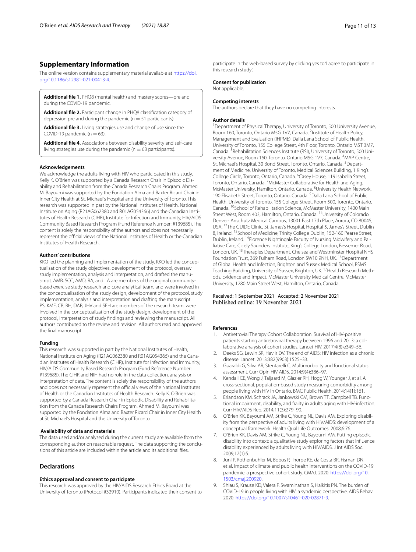#### **Supplementary Information**

The online version contains supplementary material available at [https://doi.](https://doi.org/10.1186/s12981-021-00413-4) [org/10.1186/s12981-021-00413-4](https://doi.org/10.1186/s12981-021-00413-4).

<span id="page-10-5"></span><span id="page-10-4"></span>**Additional fle 1.** PHQ8 (mental health) and mastery scores—pre and during the COVID-19 pandemic.

**Additional fle 2.** Participant change in PHQ8 classifcation category of depression pre and during the pandemic ( $n = 51$  participants).

**Additional fle 3.** Living strategies use and change of use since the COVID-19 pandemic ( $n = 63$ ).

**Additional fle 4.** Associations between disability severity and self-care living strategies use during the pandemic ( $n = 63$  participants).

#### **Acknowledgements**

We acknowledge the adults living with HIV who participated in this study. Kelly K. O'Brien was supported by a Canada Research Chair in Episodic Disability and Rehabilitation from the Canada Research Chairs Program. Ahmed M. Bayoumi was supported by the Fondation Alma and Baxter Ricard Chair in Inner City Health at St. Michael's Hospital and the University of Toronto. This research was supported in part by the National Institutes of Health, National Institute on Aging (R21AG062380 and R01AG054366) and the Canadian Institutes of Health Research (CIHR), Institute for Infection and Immunity, HIV/AIDS Community Based Research Program (Fund Reference Number: #139685). The content is solely the responsibility of the authors and does not necessarily represent the official views of the National Institutes of Health or the Canadian Institutes of Health Research.

#### **Authors' contributions**

KKO led the planning and implementation of the study. KKO led the conceptualisation of the study objectives, development of the protocol, oversaw study implementation, analysis and interpretation, and drafted the manuscript. AMB, SCC, AMD, RA, and LA are members of the original communitybased exercise study research and core analytical team, and were involved in the conceptualisation of the study design, development of the protocol, study implementation, analysis and interpretation and drafting the manuscript. PS, KME, CB, RH, DAB, JHV and SEH are members of the research team, were involved in the conceptualization of the study design, development of the protocol, interpretation of study fndings and reviewing the manuscript. All authors contributed to the review and revision. All authors read and approved the fnal manuscript.

#### **Funding**

This research was supported in part by the National Institutes of Health, National Institute on Aging (R21AG062380 and R01AG054366) and the Canadian Institutes of Health Research (CIHR), Institute for Infection and Immunity, HIV/AIDS Community Based Research Program (Fund Reference Number: #139685). The CIHR and NIH had no role in the data collection, analysis or interpretation of data. The content is solely the responsibility of the authors and does not necessarily represent the official views of the National Institutes of Health or the Canadian Institutes of Health Research. Kelly K. O'Brien was supported by a Canada Research Chair in Episodic Disability and Rehabilitation from the Canada Research Chairs Program. Ahmed M. Bayoumi was supported by the Fondation Alma and Baxter Ricard Chair in Inner City Health at St. Michael's Hospital and the University of Toronto.

#### **Availability of data and materials**

The data used and/or analysed during the current study are available from the corresponding author on reasonable request. The data supporting the conclusions of this article are included within the article and its additional fles.

#### **Declarations**

#### **Ethics approval and consent to participate**

This research was approved by the HIV/AIDS Research Ethics Board at the University of Toronto (Protocol #32910). Participants indicated their consent to

participate in the web-based survey by clicking yes to 'I agree to participate in this research study'.

#### **Consent for publication**

Not applicable.

#### **Competing interests**

The authors declare that they have no competing interests.

#### <span id="page-10-6"></span>**Author details**

<span id="page-10-7"></span><sup>1</sup> Department of Physical Therapy, University of Toronto, 500 University Avenue, Room 160, Toronto, Ontario M5G 1V7, Canada. <sup>2</sup> Institute of Health Policy, Management and Evaluation (IHPME), Dalla Lana School of Public Health, University of Toronto, 155 College Street, 4th Floor, Toronto, Ontario M5T 3M7, Canada. <sup>3</sup> Rehabilitation Sciences Institute (RSI), University of Toronto, 500 University Avenue, Room 160, Toronto, Ontario M5G 1V7, Canada. <sup>4</sup>MAP Centre, St. Michael's Hospital, 30 Bond Street, Toronto, Ontario, Canada. <sup>5</sup> Department of Medicine, University of Toronto, Medical Sciences Building, 1 King's College Circle, Toronto, Ontario, Canada. <sup>6</sup> Casey House, 119 Isabella Street, Toronto, Ontario, Canada. <sup>7</sup> McMaster Collaborative for Health and Aging, McMaster University, Hamilton, Ontario, Canada. <sup>8</sup>University Health Network, 190 Elisabeth Street, Toronto, Ontario, Canada. 9 Dalla Lana School of Public Health, University of Toronto, 155 College Street, Room 500, Toronto, Ontario, Canada. <sup>10</sup>School of Rehabilitation Science, McMaster University, 1400 Main Street West, Room 403, Hamilton, Ontario, Canada. 11University of Colorado Denver- Anschutz Medical Campus, 13001 East 17th Place, Aurora, CO 80045, USA. 12The GUIDE Clinic, St. James's Hospital, Hospital 5, James's Street, Dublin 8, Ireland. <sup>13</sup> School of Medicine, Trinity College Dublin, 152-160 Pearse Street, Dublin, Ireland. 14Florence Nightingale Faculty of Nursing Midwifery and Palliative Care, Cicely Saunders Institute, King's College London, Bessemer Road, London, UK. 15Therapies Department, Chelsea and Westminster Hospital NHS Foundation Trust, 369 Fulham Road, London SW10 9NH, UK. <sup>16</sup>Department of Global Health and Infection, Brighton and Sussex Medical School, BSMS Teaching Building, University of Sussex, Brighton, UK.<sup>17</sup> Health Research Methods, Evidence and Impact, McMaster University Medical Centre, McMaster University, 1280 Main Street West, Hamilton, Ontario, Canada.

## Received: 1 September 2021 Accepted: 2 November 2021

#### **References**

- <span id="page-10-0"></span>1. Antiretrovial Therapy Cohort Collaboration. Survival of HIV-positive patients starting antiretroviral therapy between 1996 and 2013: a collaborative analysis of cohort studies. Lancet HIV. 2017;4(8):e349–56.
- 2. Deeks SG, Lewin SR, Havlir DV. The end of AIDS: HIV infection as a chronic disease. Lancet. 2013;382(9903):1525–33.
- 3. Guaraldi G, Silva AR, Stentarelli C. Multimorbidity and functional status assessment. Curr Opin HIV AIDS. 2014;9(4):386–97.
- 4. Kendall CE, Wong J, Taljaard M, Glazier RH, Hogg W, Younger J, et al. A cross-sectional, population-based study measuring comorbidity among people living with HIV in Ontario. BMC Public Health. 2014;14(1):161.
- 5. Erlandson KM, Schrack JA, Jankowski CM, Brown TT, Campbell TB. Functional impairment, disability, and frailty in adults aging with HIV-infection. Curr HIV/AIDS Rep. 2014;11(3):279–90.
- 6. O'Brien KK, Bayoumi AM, Strike C, Young NL, Davis AM. Exploring disability from the perspective of adults living with HIV/AIDS: development of a conceptual framework. Health Qual Life Outcomes. 2008;6:76.
- <span id="page-10-1"></span>7. O'Brien KK, Davis AM, Strike C, Young NL, Bayoumi AM. Putting episodic disability into context: a qualitative study exploring factors that infuence disability experienced by adults living with HIV/AIDS. J Int AIDS Soc. 2009;12(1):5.
- <span id="page-10-2"></span>8. Juni P, Rothenbuhler M, Bobos P, Thorpe KE, da Costa BR, Fisman DN, et al. Impact of climate and public health interventions on the COVID-19 pandemic: a prospective cohort study. CMAJ. 2020. [https://doi.org/10.](https://doi.org/10.1503/cmaj.200920) [1503/cmaj.200920.](https://doi.org/10.1503/cmaj.200920)
- <span id="page-10-3"></span>9. Shiau S, Krause KD, Valera P, Swaminathan S, Halkitis PN. The burden of COVID-19 in people living with HIV: a syndemic perspective. AIDS Behav. 2020. [https://doi.org/10.1007/s10461-020-02871-9.](https://doi.org/10.1007/s10461-020-02871-9)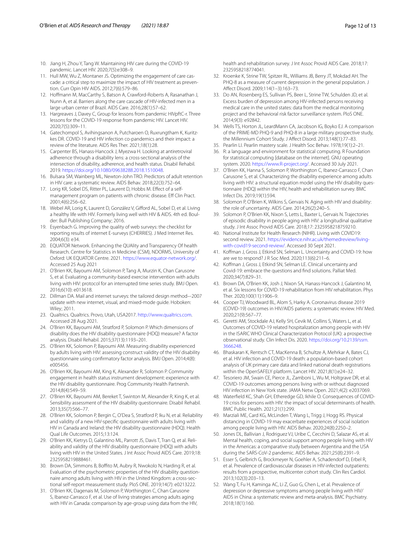- <span id="page-11-0"></span>10. Jiang H, Zhou Y, Tang W. Maintaining HIV care during the COVID-19 pandemic. Lancet HIV. 2020;7(5):e308–9.
- <span id="page-11-1"></span>11. Hull MW, Wu Z, Montaner JS. Optimizing the engagement of care cascade: a critical step to maximize the impact of HIV treatment as prevention. Curr Opin HIV AIDS. 2012;7(6):579–86.
- 12. Hofmann M, MacCarthy S, Batson A, Crawford-Roberts A, Rasanathan J, Nunn A, et al. Barriers along the care cascade of HIV-infected men in a large urban center of Brazil. AIDS Care. 2016;28(1):57–62.
- <span id="page-11-5"></span>13. Hargreaves J, Davey C, Group for lessons from pandemic HIVpftC-r. Three lessons for the COVID-19 response from pandemic HIV. Lancet HIV. 2020;7(5):309–11.
- <span id="page-11-2"></span>14. Gatechompol S, Avihingsanon A, Putcharoen O, Ruxrungtham K, Kuritzkes DR. COVID-19 and HIV infection co-pandemics and their impact: a review of the literature. AIDS Res Ther. 2021;18(1):28.
- <span id="page-11-3"></span>15. Carpenter BS, Hanass-Hancock J, Myezwa H. Looking at antiretroviral adherence through a disability lens: a cross-sectional analysis of the intersection of disability, adherence, and health status. Disabil Rehabil. 2019.<https://doi.org/10.1080/09638288.2018.1510048>.
- <span id="page-11-4"></span>16. Bulsara SM, Wainberg ML, Newton-John TRO. Predictors of adult retention in HIV care: a systematic review. AIDS Behav. 2018;22(3):752–64.
- <span id="page-11-6"></span>17. Lorig KR, Sobel DS, Ritter PL, Laurent D, Hobbs M. Efect of a selfmanagement program on patients with chronic disease. Ef Clin Pract. 2001;4(6):256–62.
- <span id="page-11-7"></span>18. Webel AR, Lorig K, Laurent D, González V, Giford AL, Sobel D, et al. Living a healthy life with HIV. Formerly living well with HIV & AIDS. 4th ed. Boulder: Bull Publishing Company; 2016.
- <span id="page-11-8"></span>19. Esyenbach G. Improving the quality of web surveys: the checklist for reporting results of internet E-surveys (CHERRIES). J Med Internet Res. 2004;6(3): e34.
- <span id="page-11-9"></span>20. EQUATOR Network. Enhancing the QUAlity and Transparency Of health Research. Centre for Statistics in Medicine (CSM), NDORMS, University of Oxford: UK EQUATOR Centre. 2021. <https://www.equator-network.org/>. Accessed 25 Aug 2021
- <span id="page-11-10"></span>21. O'Brien KK, Bayoumi AM, Solomon P, Tang A, Murzin K, Chan Carusone S, et al. Evaluating a community-based exercise intervention with adults living with HIV: protocol for an interrupted time series study. BMJ Open. 2016;6(10): e013618.
- <span id="page-11-11"></span>22. Dillman DA. Mail and internet surveys: the tailored design method–-2007 update with new internet, visual, and mixed-mode guide. Hoboken: Wiley; 2011.
- <span id="page-11-12"></span>23. Qualtrics. Qualtrics. Provo, Utah, USA2017.<http://www.qualtrics.com>. Accessed 28 Aug 2021.
- <span id="page-11-13"></span>24. O'Brien KK, Bayoumi AM, Stratford P, Solomon P. Which dimensions of disability does the HIV disability questionnaire (HDQ) measure? A factor analysis. Disabil Rehabil. 2015;37(13):1193–201.
- <span id="page-11-14"></span>25. O'Brien KK, Solomon P, Bayoumi AM. Measuring disability experienced by adults living with HIV: assessing construct validity of the HIV disability questionnaire using confrmatory factor analysis. BMJ Open. 2014;4(8): e005456.
- <span id="page-11-15"></span>26. O'Brien KK, Bayoumi AM, King K, Alexander R, Solomon P. Community engagement in health status instrument development: experience with the HIV disability questionnaire. Prog Community Health Partnersh. 2014;8(4):549–59.
- 27. O'Brien KK, Bayoumi AM, Bereket T, Swinton M, Alexander R, King K, et al. Sensibility assessment of the HIV disability questionnaire. Disabil Rehabil. 2013;35(7):566–77.
- 28. O'Brien KK, Solomon P, Bergin C, O'Dea S, Stratford P, Iku N, et al. Reliability and validity of a new HIV-specifc questionnaire with adults living with HIV in Canada and Ireland: the HIV disability questionnaire (HDQ). Health Qual Life Outcomes. 2015;13:124.
- 29. O'Brien KK, Kietrys D, Galantino ML, Parrott JS, Davis T, Tran Q, et al. Reliability and validity of the HIV disability questionnaire (HDQ) with adults living with HIV in the United States. J Int Assoc Provid AIDS Care. 2019;18: 2325958219888461.
- <span id="page-11-16"></span>30. Brown DA, Simmons B, Boffito M, Aubry R, Nwokolo N, Harding R, et al. Evaluation of the psychometric properties of the HIV disability questionnaire among adults living with HIV in the United Kingdom: a cross-sectional self-report measurement study. PloS ONE. 2019;14(7): e0213222.
- <span id="page-11-17"></span>31. O'Brien KK, Dagenais M, Solomon P, Worthington C, Chan Carusone S, Ibanez-Carrasco F, et al. Use of living strategies among adults aging with HIV in Canada: comparison by age-group using data from the HIV,

health and rehabilitation survey. J Int Assoc Provid AIDS Care. 2018;17: 2325958218774041.

- <span id="page-11-18"></span>32. Kroenke K, Strine TW, Spitzer RL, Williams JB, Berry JT, Mokdad AH. The PHQ-8 as a measure of current depression in the general population. J Afect Disord. 2009;114(1–3):163–73.
- <span id="page-11-19"></span>33. Do AN, Rosenberg ES, Sullivan PS, Beer L, Strine TW, Schulden JD, et al. Excess burden of depression among HIV-infected persons receiving medical care in the united states: data from the medical monitoring project and the behavioral risk factor surveillance system. PloS ONE. 2014;9(3): e92842.
- <span id="page-11-20"></span>34. Wells TS, Horton JL, LeardMann CA, Jacobson IG, Boyko EJ. A comparison of the PRIME-MD PHQ-9 and PHQ-8 in a large military prospective study, the Millennium Cohort Study. J Afect Disord. 2013;148(1):77–83.
- <span id="page-11-21"></span>35. Pearlin LI. Pearlin mastery scale. J Health Soc Behav. 1978;19(1):2–21.
- <span id="page-11-22"></span>36. R: a language and environment for statistical computing. R Foundation for statistical computing [database on the internet]. GNU operating system. 2020.<https://www.R-project.org/>. Accessed 30 July 2021.
- <span id="page-11-23"></span>37. O'Brien KK, Hanna S, Solomon P, Worthington C, Ibanez-Carrasco F, Chan Carusone S, et al. Characterizing the disability experience among adults living with HIV: a structural equation model using the HIV disability questionnaire (HDQ) within the HIV, health and rehabilitation survey. BMC Infect Dis. 2019;19(1):594.
- <span id="page-11-27"></span>38. Solomon P, O'Brien K, Wilkins S, Gervais N. Aging with HIV and disability: the role of uncertainty. AIDS Care. 2014;26(2):240–5.
- <span id="page-11-24"></span>39. Solomon P, O'Brien KK, Nixon S, Letts L, Baxter L, Gervais N. Trajectories of episodic disability in people aging with HIV: a longitudinal qualitative study. J Int Assoc Provid AIDS Care. 2018;17: 2325958218759210.
- <span id="page-11-25"></span>40. National Institute for Health Research (NIHR). Living with COVID19: second review. 2021. [https://evidence.nihr.ac.uk/themedreview/living](https://evidence.nihr.ac.uk/themedreview/living-with-covid19-second-review/)[with-covid19-second-review/.](https://evidence.nihr.ac.uk/themedreview/living-with-covid19-second-review/) Accessed 30 Sept 2021.
- 41. Kofman J, Gross J, Etkind SN, Selman L. Uncertainty and COVID-19: how are we to respond? J R Soc Med. 2020;113(6):211–6.
- <span id="page-11-26"></span>42. Kofman J, Gross J, Etkind SN, Selman LE. Clinical uncertainty and Covid-19: embrace the questions and fnd solutions. Palliat Med. 2020;34(7):829–31.
- <span id="page-11-28"></span>43. Brown DA, O'Brien KK, Josh J, Nixon SA, Hanass-Hancock J, Galantino M, et al. Six lessons for COVID-19 rehabilitation from HIV rehabilitation. Phys Ther. 2020;100(11):1906–9.
- <span id="page-11-29"></span>44. Cooper TJ, Woodward BL, Alom S, Harky A. Coronavirus disease 2019 (COVID-19) outcomes in HIV/AIDS patients: a systematic review. HIV Med. 2020;21(9):567–77.
- 45. Geretti AM, Stockdale AJ, Kelly SH, Cevik M, Collins S, Waters L, et al. Outcomes of COVID-19 related hospitalization among people with HIV in the ISARIC WHO Clinical Characterization Protocol (UK): a prospective observational study. Clin Infect Dis. 2020. [https://doi.org/10.2139/ssrn.](https://doi.org/10.2139/ssrn.3666248) [3666248](https://doi.org/10.2139/ssrn.3666248).
- 46. Bhaskaran K, Rentsch CT, MacKenna B, Schultze A, Mehrkar A, Bates CJ, et al. HIV infection and COVID-19 death: a population-based cohort analysis of UK primary care data and linked national death registrations within the OpenSAFELY platform. Lancet HIV. 2021;8(1):e24–32.
- <span id="page-11-30"></span>47. Tesoriero JM, Swain CE, Pierce JL, Zamboni L, Wu M, Holtgrave DR, et al. COVID-19 outcomes among persons living with or without diagnosed HIV infection in New York state. JAMA Netw Open. 2021;4(2): e2037069.
- <span id="page-11-31"></span>48. Waterfeld KC, Shah GH, Etheredge GD, Ikhile O. Consequences of COVID-19 crisis for persons with HIV: the impact of social determinants of health. BMC Public Health. 2021;21(1):299.
- <span id="page-11-32"></span>49. Marziali ME, Card KG, McLinden T, Wang L, Trigg J, Hogg RS. Physical distancing in COVID-19 may exacerbate experiences of social isolation among people living with HIV. AIDS Behav. 2020;24(8):2250–2.
- <span id="page-11-33"></span>50. Jones DL, Ballivian J, Rodriguez VJ, Uribe C, Cecchini D, Salazar AS, et al. Mental health, coping, and social support among people living with HIV in the Americas: a comparative study between Argentina and the USA during the SARS-CoV-2 pandemic. AIDS Behav. 2021;25(8):2391–9.
- <span id="page-11-34"></span>51. Esser S, Gelbrich G, Brockmeyer N, Goehler A, Schadendorf D, Erbel R, et al. Prevalence of cardiovascular diseases in HIV-infected outpatients: results from a prospective, multicenter cohort study. Clin Res Cardiol. 2013;102(3):203–13.
- 52. Wang T, Fu H, Kaminga AC, Li Z, Guo G, Chen L, et al. Prevalence of depression or depressive symptoms among people living with HIV/ AIDS in China: a systematic review and meta-analysis. BMC Psychiatry. 2018;18(1):160.